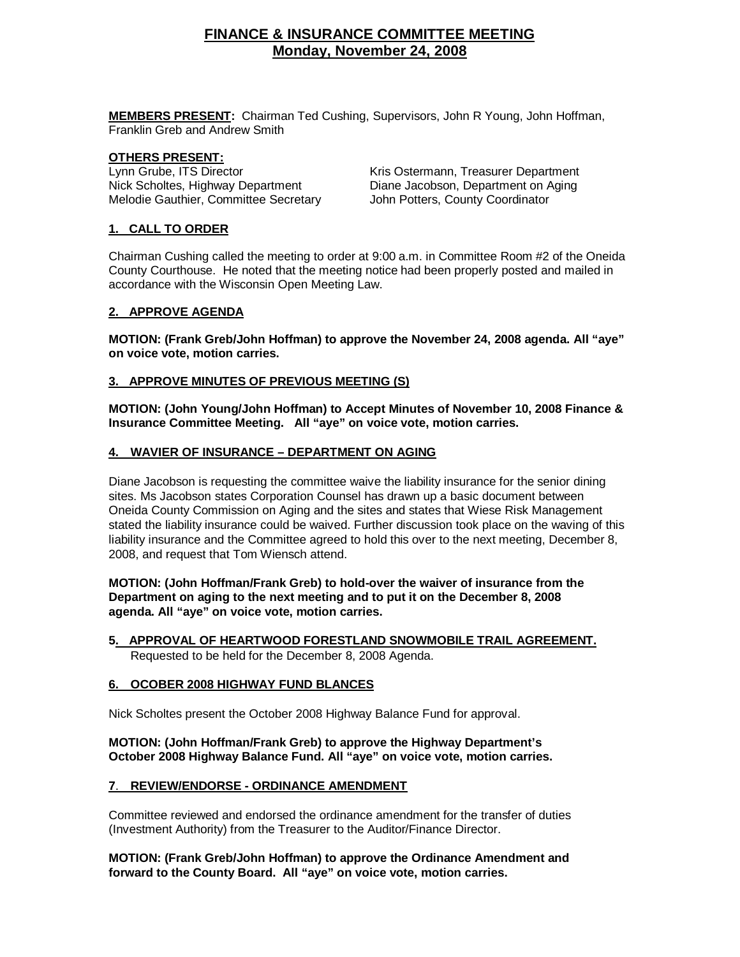# **FINANCE & INSURANCE COMMITTEE MEETING Monday, November 24, 2008**

 **MEMBERS PRESENT:** Chairman Ted Cushing, Supervisors, John R Young, John Hoffman, Franklin Greb and Andrew Smith

#### **OTHERS PRESENT:**

Melodie Gauthier, Committee Secretary John Potters, County Coordinator

Lynn Grube, ITS Director **Kris Ostermann, Treasurer Department** Nick Scholtes, Highway Department Diane Jacobson, Department on Aging

# **1. CALL TO ORDER**

Chairman Cushing called the meeting to order at 9:00 a.m. in Committee Room #2 of the Oneida County Courthouse. He noted that the meeting notice had been properly posted and mailed in accordance with the Wisconsin Open Meeting Law.

# **2. APPROVE AGENDA**

**MOTION: (Frank Greb/John Hoffman) to approve the November 24, 2008 agenda. All "aye" on voice vote, motion carries.** 

# **3. APPROVE MINUTES OF PREVIOUS MEETING (S)**

**MOTION: (John Young/John Hoffman) to Accept Minutes of November 10, 2008 Finance & Insurance Committee Meeting. All "aye" on voice vote, motion carries.** 

# **4. WAVIER OF INSURANCE – DEPARTMENT ON AGING**

Diane Jacobson is requesting the committee waive the liability insurance for the senior dining sites. Ms Jacobson states Corporation Counsel has drawn up a basic document between Oneida County Commission on Aging and the sites and states that Wiese Risk Management stated the liability insurance could be waived. Further discussion took place on the waving of this liability insurance and the Committee agreed to hold this over to the next meeting, December 8, 2008, and request that Tom Wiensch attend.

 **MOTION: (John Hoffman/Frank Greb) to hold-over the waiver of insurance from the Department on aging to the next meeting and to put it on the December 8, 2008 agenda. All "aye" on voice vote, motion carries.** 

 **5. APPROVAL OF HEARTWOOD FORESTLAND SNOWMOBILE TRAIL AGREEMENT.** Requested to be held for the December 8, 2008 Agenda.

#### **6. OCOBER 2008 HIGHWAY FUND BLANCES**

Nick Scholtes present the October 2008 Highway Balance Fund for approval.

# **MOTION: (John Hoffman/Frank Greb) to approve the Highway Department's October 2008 Highway Balance Fund. All "aye" on voice vote, motion carries.**

#### **7**. **REVIEW/ENDORSE - ORDINANCE AMENDMENT**

Committee reviewed and endorsed the ordinance amendment for the transfer of duties (Investment Authority) from the Treasurer to the Auditor/Finance Director.

 **MOTION: (Frank Greb/John Hoffman) to approve the Ordinance Amendment and forward to the County Board. All "aye" on voice vote, motion carries.**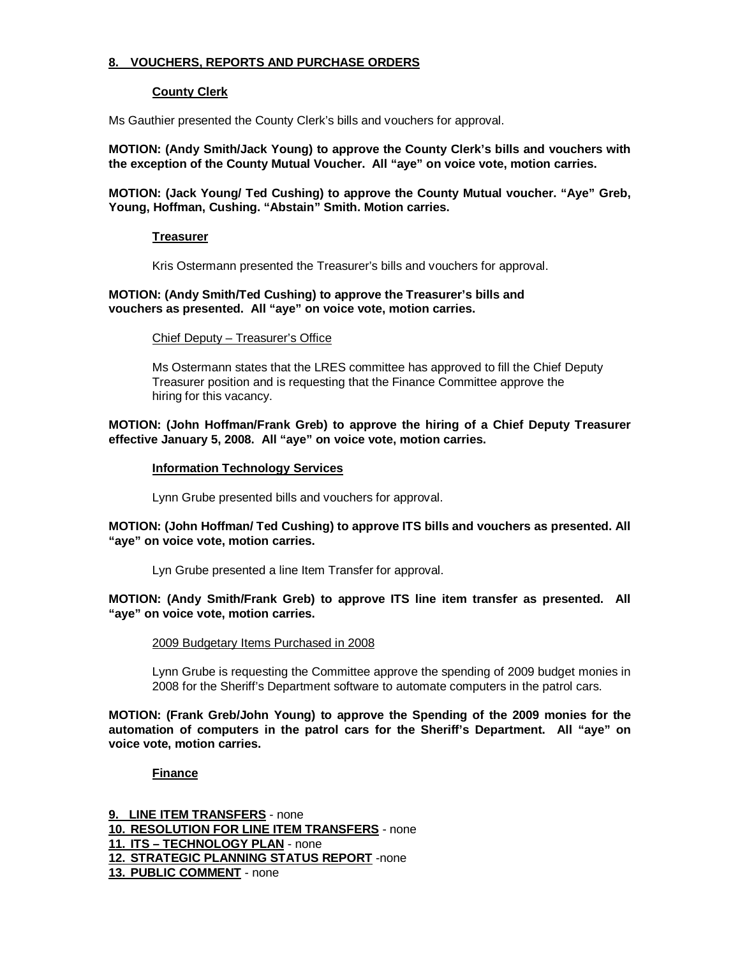# **8. VOUCHERS, REPORTS AND PURCHASE ORDERS**

# **County Clerk**

Ms Gauthier presented the County Clerk's bills and vouchers for approval.

**MOTION: (Andy Smith/Jack Young) to approve the County Clerk's bills and vouchers with the exception of the County Mutual Voucher. All "aye" on voice vote, motion carries.**

**MOTION: (Jack Young/ Ted Cushing) to approve the County Mutual voucher. "Aye" Greb, Young, Hoffman, Cushing. "Abstain" Smith. Motion carries.** 

# **Treasurer**

Kris Ostermann presented the Treasurer's bills and vouchers for approval.

#### **MOTION: (Andy Smith/Ted Cushing) to approve the Treasurer's bills and vouchers as presented. All "aye" on voice vote, motion carries.**

#### **Chief Deputy - Treasurer's Office**

 Ms Ostermann states that the LRES committee has approved to fill the Chief Deputy Treasurer position and is requesting that the Finance Committee approve the hiring for this vacancy.

# **MOTION: (John Hoffman/Frank Greb) to approve the hiring of a Chief Deputy Treasurer effective January 5, 2008. All "aye" on voice vote, motion carries.**

#### **Information Technology Services**

Lynn Grube presented bills and vouchers for approval.

# **MOTION: (John Hoffman/ Ted Cushing) to approve ITS bills and vouchers as presented. All "aye" on voice vote, motion carries.**

Lyn Grube presented a line Item Transfer for approval.

# **MOTION: (Andy Smith/Frank Greb) to approve ITS line item transfer as presented. All "aye" on voice vote, motion carries.**

#### 2009 Budgetary Items Purchased in 2008

 Lynn Grube is requesting the Committee approve the spending of 2009 budget monies in 2008 for the Sheriff's Department software to automate computers in the patrol cars.

**MOTION: (Frank Greb/John Young) to approve the Spending of the 2009 monies for the automation of computers in the patrol cars for the Sheriff's Department. All "aye" on voice vote, motion carries.** 

#### **Finance**

**9. LINE ITEM TRANSFERS** - none **10. RESOLUTION FOR LINE ITEM TRANSFERS** - none **11. ITS – TECHNOLOGY PLAN** - none **12. STRATEGIC PLANNING STATUS REPORT** -none **13. PUBLIC COMMENT** - none